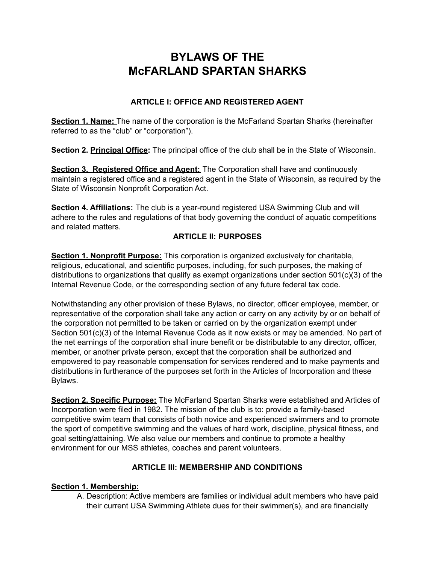# **BYLAWS OF THE McFARLAND SPARTAN SHARKS**

## **ARTICLE I: OFFICE AND REGISTERED AGENT**

**Section 1. Name:** The name of the corporation is the McFarland Spartan Sharks (hereinafter referred to as the "club" or "corporation").

**Section 2. Principal Office:** The principal office of the club shall be in the State of Wisconsin.

**Section 3. Registered Office and Agent:** The Corporation shall have and continuously maintain a registered office and a registered agent in the State of Wisconsin, as required by the State of Wisconsin Nonprofit Corporation Act.

**Section 4. Affiliations:** The club is a year-round registered USA Swimming Club and will adhere to the rules and regulations of that body governing the conduct of aquatic competitions and related matters.

## **ARTICLE II: PURPOSES**

**Section 1. Nonprofit Purpose:** This corporation is organized exclusively for charitable, religious, educational, and scientific purposes, including, for such purposes, the making of distributions to organizations that qualify as exempt organizations under section 501(c)(3) of the Internal Revenue Code, or the corresponding section of any future federal tax code.

Notwithstanding any other provision of these Bylaws, no director, officer employee, member, or representative of the corporation shall take any action or carry on any activity by or on behalf of the corporation not permitted to be taken or carried on by the organization exempt under Section 501(c)(3) of the Internal Revenue Code as it now exists or may be amended. No part of the net earnings of the corporation shall inure benefit or be distributable to any director, officer, member, or another private person, except that the corporation shall be authorized and empowered to pay reasonable compensation for services rendered and to make payments and distributions in furtherance of the purposes set forth in the Articles of Incorporation and these Bylaws.

**Section 2. Specific Purpose:** The McFarland Spartan Sharks were established and Articles of Incorporation were filed in 1982. The mission of the club is to: provide a family-based competitive swim team that consists of both novice and experienced swimmers and to promote the sport of competitive swimming and the values of hard work, discipline, physical fitness, and goal setting/attaining. We also value our members and continue to promote a healthy environment for our MSS athletes, coaches and parent volunteers.

# **ARTICLE III: MEMBERSHIP AND CONDITIONS**

## **Section 1. Membership:**

A. Description: Active members are families or individual adult members who have paid their current USA Swimming Athlete dues for their swimmer(s), and are financially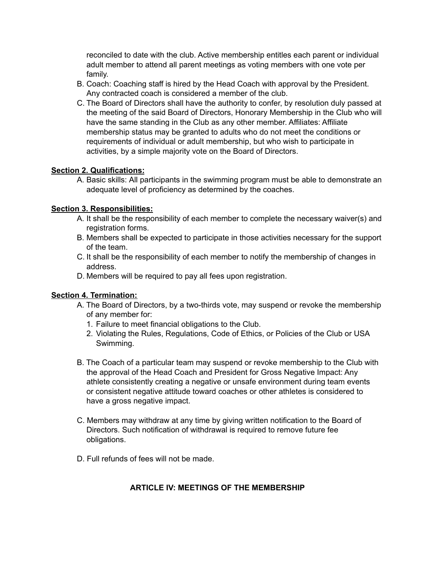reconciled to date with the club. Active membership entitles each parent or individual adult member to attend all parent meetings as voting members with one vote per family.

- B. Coach: Coaching staff is hired by the Head Coach with approval by the President. Any contracted coach is considered a member of the club.
- C. The Board of Directors shall have the authority to confer, by resolution duly passed at the meeting of the said Board of Directors, Honorary Membership in the Club who will have the same standing in the Club as any other member. Affiliates: Affiliate membership status may be granted to adults who do not meet the conditions or requirements of individual or adult membership, but who wish to participate in activities, by a simple majority vote on the Board of Directors.

#### **Section 2. Qualifications:**

A. Basic skills: All participants in the swimming program must be able to demonstrate an adequate level of proficiency as determined by the coaches.

## **Section 3. Responsibilities:**

- A. It shall be the responsibility of each member to complete the necessary waiver(s) and registration forms.
- B. Members shall be expected to participate in those activities necessary for the support of the team.
- C. It shall be the responsibility of each member to notify the membership of changes in address.
- D. Members will be required to pay all fees upon registration.

#### **Section 4. Termination:**

- A. The Board of Directors, by a two-thirds vote, may suspend or revoke the membership of any member for:
	- 1. Failure to meet financial obligations to the Club.
	- 2. Violating the Rules, Regulations, Code of Ethics, or Policies of the Club or USA Swimming.
- B. The Coach of a particular team may suspend or revoke membership to the Club with the approval of the Head Coach and President for Gross Negative Impact: Any athlete consistently creating a negative or unsafe environment during team events or consistent negative attitude toward coaches or other athletes is considered to have a gross negative impact.
- C. Members may withdraw at any time by giving written notification to the Board of Directors. Such notification of withdrawal is required to remove future fee obligations.
- D. Full refunds of fees will not be made.

## **ARTICLE IV: MEETINGS OF THE MEMBERSHIP**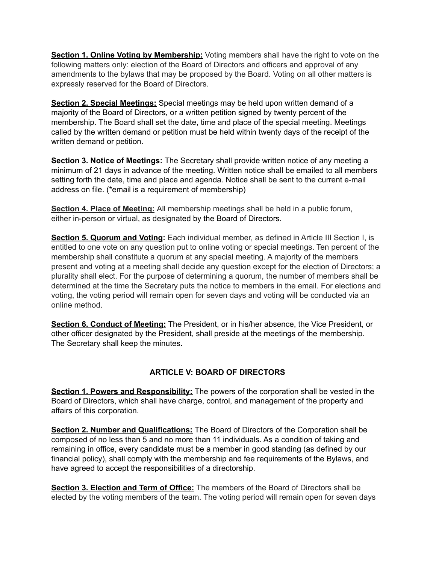**Section 1. Online Voting by Membership:** Voting members shall have the right to vote on the following matters only: election of the Board of Directors and officers and approval of any amendments to the bylaws that may be proposed by the Board. Voting on all other matters is expressly reserved for the Board of Directors.

**Section 2. Special Meetings:** Special meetings may be held upon written demand of a majority of the Board of Directors, or a written petition signed by twenty percent of the membership. The Board shall set the date, time and place of the special meeting. Meetings called by the written demand or petition must be held within twenty days of the receipt of the written demand or petition.

**Section 3. Notice of Meetings:** The Secretary shall provide written notice of any meeting a minimum of 21 days in advance of the meeting. Written notice shall be emailed to all members setting forth the date, time and place and agenda. Notice shall be sent to the current e-mail address on file. (\*email is a requirement of membership)

**Section 4. Place of Meeting:** All membership meetings shall be held in a public forum, either in-person or virtual, as designated by the Board of Directors.

**Section 5. Quorum and Voting:** Each individual member, as defined in Article III Section I, is entitled to one vote on any question put to online voting or special meetings. Ten percent of the membership shall constitute a quorum at any special meeting. A majority of the members present and voting at a meeting shall decide any question except for the election of Directors; a plurality shall elect. For the purpose of determining a quorum, the number of members shall be determined at the time the Secretary puts the notice to members in the email. For elections and voting, the voting period will remain open for seven days and voting will be conducted via an online method.

**Section 6. Conduct of Meeting:** The President, or in his/her absence, the Vice President, or other officer designated by the President, shall preside at the meetings of the membership. The Secretary shall keep the minutes.

## **ARTICLE V: BOARD OF DIRECTORS**

**Section 1. Powers and Responsibility:** The powers of the corporation shall be vested in the Board of Directors, which shall have charge, control, and management of the property and affairs of this corporation.

**Section 2. Number and Qualifications:** The Board of Directors of the Corporation shall be composed of no less than 5 and no more than 11 individuals. As a condition of taking and remaining in office, every candidate must be a member in good standing (as defined by our financial policy), shall comply with the membership and fee requirements of the Bylaws, and have agreed to accept the responsibilities of a directorship.

**Section 3. Election and Term of Office:** The members of the Board of Directors shall be elected by the voting members of the team. The voting period will remain open for seven days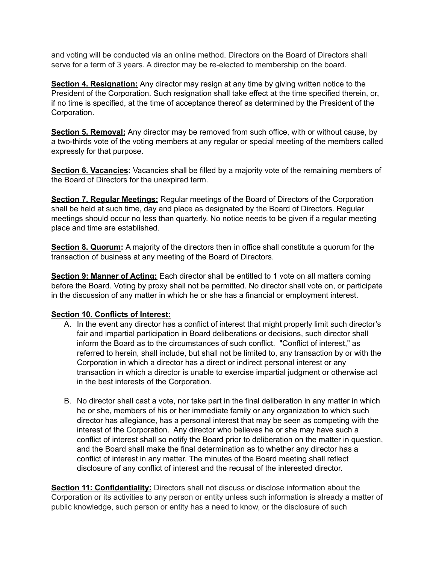and voting will be conducted via an online method. Directors on the Board of Directors shall serve for a term of 3 years. A director may be re-elected to membership on the board.

**Section 4. Resignation:** Any director may resign at any time by giving written notice to the President of the Corporation. Such resignation shall take effect at the time specified therein, or, if no time is specified, at the time of acceptance thereof as determined by the President of the Corporation.

**Section 5. Removal:** Any director may be removed from such office, with or without cause, by a two-thirds vote of the voting members at any regular or special meeting of the members called expressly for that purpose.

**Section 6. Vacancies:** Vacancies shall be filled by a majority vote of the remaining members of the Board of Directors for the unexpired term.

**Section 7. Regular Meetings:** Regular meetings of the Board of Directors of the Corporation shall be held at such time, day and place as designated by the Board of Directors. Regular meetings should occur no less than quarterly. No notice needs to be given if a regular meeting place and time are established.

**Section 8. Quorum:** A majority of the directors then in office shall constitute a quorum for the transaction of business at any meeting of the Board of Directors.

**Section 9: Manner of Acting:** Each director shall be entitled to 1 vote on all matters coming before the Board. Voting by proxy shall not be permitted. No director shall vote on, or participate in the discussion of any matter in which he or she has a financial or employment interest.

#### **Section 10. Conflicts of Interest:**

- A. In the event any director has a conflict of interest that might properly limit such director's fair and impartial participation in Board deliberations or decisions, such director shall inform the Board as to the circumstances of such conflict. "Conflict of interest," as referred to herein, shall include, but shall not be limited to, any transaction by or with the Corporation in which a director has a direct or indirect personal interest or any transaction in which a director is unable to exercise impartial judgment or otherwise act in the best interests of the Corporation.
- B. No director shall cast a vote, nor take part in the final deliberation in any matter in which he or she, members of his or her immediate family or any organization to which such director has allegiance, has a personal interest that may be seen as competing with the interest of the Corporation. Any director who believes he or she may have such a conflict of interest shall so notify the Board prior to deliberation on the matter in question, and the Board shall make the final determination as to whether any director has a conflict of interest in any matter. The minutes of the Board meeting shall reflect disclosure of any conflict of interest and the recusal of the interested director.

**Section 11: Confidentiality:** Directors shall not discuss or disclose information about the Corporation or its activities to any person or entity unless such information is already a matter of public knowledge, such person or entity has a need to know, or the disclosure of such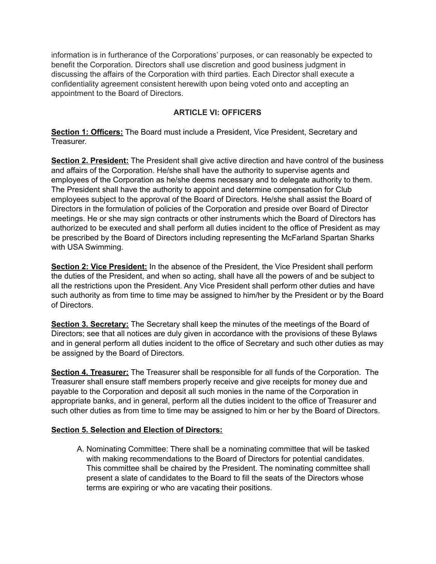information is in furtherance of the Corporations' purposes, or can reasonably be expected to benefit the Corporation. Directors shall use discretion and good business judgment in discussing the affairs of the Corporation with third parties. Each Director shall execute a confidentiality agreement consistent herewith upon being voted onto and accepting an appointment to the Board of Directors.

## **ARTICLE VI: OFFICERS**

**Section 1: Officers:** The Board must include a President, Vice President, Secretary and Treasurer.

**Section 2. President:** The President shall give active direction and have control of the business and affairs of the Corporation. He/she shall have the authority to supervise agents and employees of the Corporation as he/she deems necessary and to delegate authority to them. The President shall have the authority to appoint and determine compensation for Club employees subject to the approval of the Board of Directors. He/she shall assist the Board of Directors in the formulation of policies of the Corporation and preside over Board of Director meetings. He or she may sign contracts or other instruments which the Board of Directors has authorized to be executed and shall perform all duties incident to the office of President as may be prescribed by the Board of Directors including representing the McFarland Spartan Sharks with USA Swimming.

**Section 2: Vice President:** In the absence of the President, the Vice President shall perform the duties of the President, and when so acting, shall have all the powers of and be subject to all the restrictions upon the President. Any Vice President shall perform other duties and have such authority as from time to time may be assigned to him/her by the President or by the Board of Directors.

**Section 3. Secretary:** The Secretary shall keep the minutes of the meetings of the Board of Directors; see that all notices are duly given in accordance with the provisions of these Bylaws and in general perform all duties incident to the office of Secretary and such other duties as may be assigned by the Board of Directors.

**Section 4. Treasurer:** The Treasurer shall be responsible for all funds of the Corporation. The Treasurer shall ensure staff members properly receive and give receipts for money due and payable to the Corporation and deposit all such monies in the name of the Corporation in appropriate banks, and in general, perform all the duties incident to the office of Treasurer and such other duties as from time to time may be assigned to him or her by the Board of Directors.

#### **Section 5. Selection and Election of Directors:**

A. Nominating Committee: There shall be a nominating committee that will be tasked with making recommendations to the Board of Directors for potential candidates. This committee shall be chaired by the President. The nominating committee shall present a slate of candidates to the Board to fill the seats of the Directors whose terms are expiring or who are vacating their positions.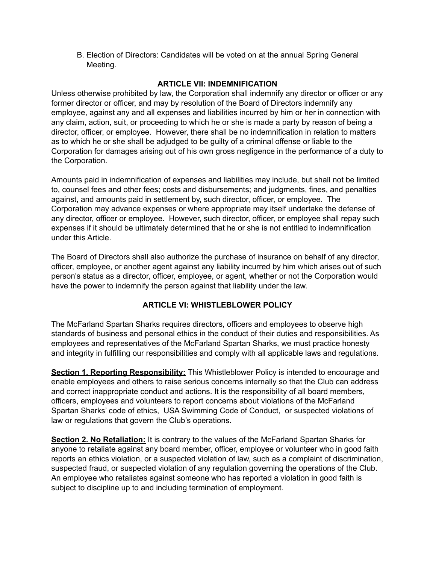B. Election of Directors: Candidates will be voted on at the annual Spring General Meeting.

#### **ARTICLE VII: INDEMNIFICATION**

Unless otherwise prohibited by law, the Corporation shall indemnify any director or officer or any former director or officer, and may by resolution of the Board of Directors indemnify any employee, against any and all expenses and liabilities incurred by him or her in connection with any claim, action, suit, or proceeding to which he or she is made a party by reason of being a director, officer, or employee. However, there shall be no indemnification in relation to matters as to which he or she shall be adjudged to be guilty of a criminal offense or liable to the Corporation for damages arising out of his own gross negligence in the performance of a duty to the Corporation.

Amounts paid in indemnification of expenses and liabilities may include, but shall not be limited to, counsel fees and other fees; costs and disbursements; and judgments, fines, and penalties against, and amounts paid in settlement by, such director, officer, or employee. The Corporation may advance expenses or where appropriate may itself undertake the defense of any director, officer or employee. However, such director, officer, or employee shall repay such expenses if it should be ultimately determined that he or she is not entitled to indemnification under this Article.

The Board of Directors shall also authorize the purchase of insurance on behalf of any director, officer, employee, or another agent against any liability incurred by him which arises out of such person's status as a director, officer, employee, or agent, whether or not the Corporation would have the power to indemnify the person against that liability under the law.

## **ARTICLE VI: WHISTLEBLOWER POLICY**

The McFarland Spartan Sharks requires directors, officers and employees to observe high standards of business and personal ethics in the conduct of their duties and responsibilities. As employees and representatives of the McFarland Spartan Sharks, we must practice honesty and integrity in fulfilling our responsibilities and comply with all applicable laws and regulations.

**Section 1. Reporting Responsibility:** This Whistleblower Policy is intended to encourage and enable employees and others to raise serious concerns internally so that the Club can address and correct inappropriate conduct and actions. It is the responsibility of all board members, officers, employees and volunteers to report concerns about violations of the McFarland Spartan Sharks' code of ethics, USA Swimming Code of Conduct, or suspected violations of law or regulations that govern the Club's operations.

**Section 2. No Retaliation:** It is contrary to the values of the McFarland Spartan Sharks for anyone to retaliate against any board member, officer, employee or volunteer who in good faith reports an ethics violation, or a suspected violation of law, such as a complaint of discrimination, suspected fraud, or suspected violation of any regulation governing the operations of the Club. An employee who retaliates against someone who has reported a violation in good faith is subject to discipline up to and including termination of employment.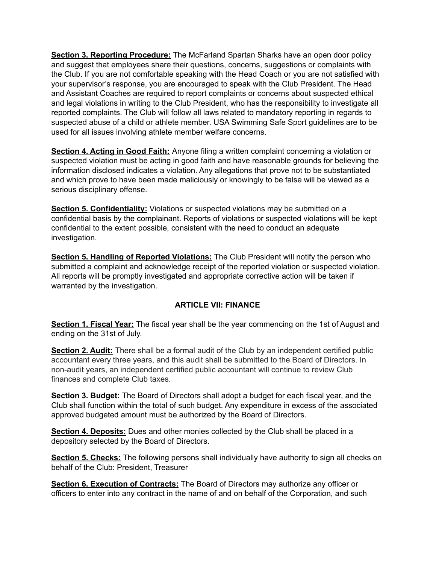**Section 3. Reporting Procedure:** The McFarland Spartan Sharks have an open door policy and suggest that employees share their questions, concerns, suggestions or complaints with the Club. If you are not comfortable speaking with the Head Coach or you are not satisfied with your supervisor's response, you are encouraged to speak with the Club President. The Head and Assistant Coaches are required to report complaints or concerns about suspected ethical and legal violations in writing to the Club President, who has the responsibility to investigate all reported complaints. The Club will follow all laws related to mandatory reporting in regards to suspected abuse of a child or athlete member. USA Swimming Safe Sport guidelines are to be used for all issues involving athlete member welfare concerns.

**Section 4. Acting in Good Faith:** Anyone filing a written complaint concerning a violation or suspected violation must be acting in good faith and have reasonable grounds for believing the information disclosed indicates a violation. Any allegations that prove not to be substantiated and which prove to have been made maliciously or knowingly to be false will be viewed as a serious disciplinary offense.

**Section 5. Confidentiality:** Violations or suspected violations may be submitted on a confidential basis by the complainant. Reports of violations or suspected violations will be kept confidential to the extent possible, consistent with the need to conduct an adequate investigation.

**Section 5. Handling of Reported Violations:** The Club President will notify the person who submitted a complaint and acknowledge receipt of the reported violation or suspected violation. All reports will be promptly investigated and appropriate corrective action will be taken if warranted by the investigation.

## **ARTICLE VII: FINANCE**

**Section 1. Fiscal Year:** The fiscal year shall be the year commencing on the 1st of August and ending on the 31st of July.

**Section 2. Audit:** There shall be a formal audit of the Club by an independent certified public accountant every three years, and this audit shall be submitted to the Board of Directors. In non-audit years, an independent certified public accountant will continue to review Club finances and complete Club taxes.

**Section 3. Budget:** The Board of Directors shall adopt a budget for each fiscal year, and the Club shall function within the total of such budget. Any expenditure in excess of the associated approved budgeted amount must be authorized by the Board of Directors.

**Section 4. Deposits:** Dues and other monies collected by the Club shall be placed in a depository selected by the Board of Directors.

**Section 5. Checks:** The following persons shall individually have authority to sign all checks on behalf of the Club: President, Treasurer

**Section 6. Execution of Contracts:** The Board of Directors may authorize any officer or officers to enter into any contract in the name of and on behalf of the Corporation, and such